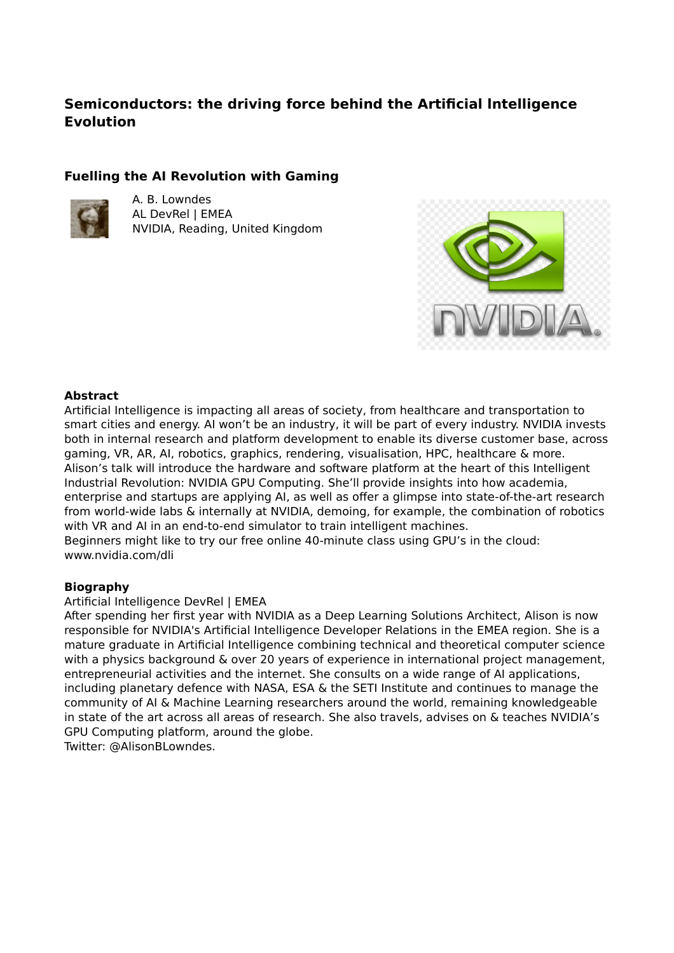# **Semiconductors: the driving force behind the Artificial lntelligence Evolution**

## **Fuelling the AI Revolution with Gaming**



A. B. Lowndes AL DevRel | EMEA NVIDIA, Reading, United Kingdom



### **Abstract**

Artificial Intelligence is impacting all areas of society, from healthcare and transportation to smart cities and energy. AI won't be an industry, it will be part of every industry. NVIDIA invests both in internal research and platform development to enable its diverse customer base, across gaming, VR, AR, AI, robotics, graphics, rendering, visualisation, HPC, healthcare & more. Alison's talk will introduce the hardware and software platform at the heart of this Intelligent Industrial Revolution: NVIDIA GPU Computing. She'll provide insights into how academia, enterprise and startups are applying AI, as well as offer a glimpse into state-of-the-art research from world-wide labs & internally at NVIDIA, demoing, for example, the combination of robotics with VR and AI in an end-to-end simulator to train intelligent machines.

Beginners might like to try our free online 40-minute class using GPU's in the cloud: www.nvidia.com/dli

### **Biography**

### Artificial Intelligence DevRel | EMEA

After spending her first year with NVIDIA as a Deep Learning Solutions Architect, Alison is now responsible for NVIDIA's Artificial Intelligence Developer Relations in the EMEA region. She is a mature graduate in Artificial Intelligence combining technical and theoretical computer science with a physics background & over 20 years of experience in international project management, entrepreneurial activities and the internet. She consults on a wide range of AI applications, including planetary defence with NASA, ESA & the SETI Institute and continues to manage the community of AI & Machine Learning researchers around the world, remaining knowledgeable in state of the art across all areas of research. She also travels, advises on & teaches NVIDIA's GPU Computing platform, around the globe.

Twitter: @AlisonBLowndes.